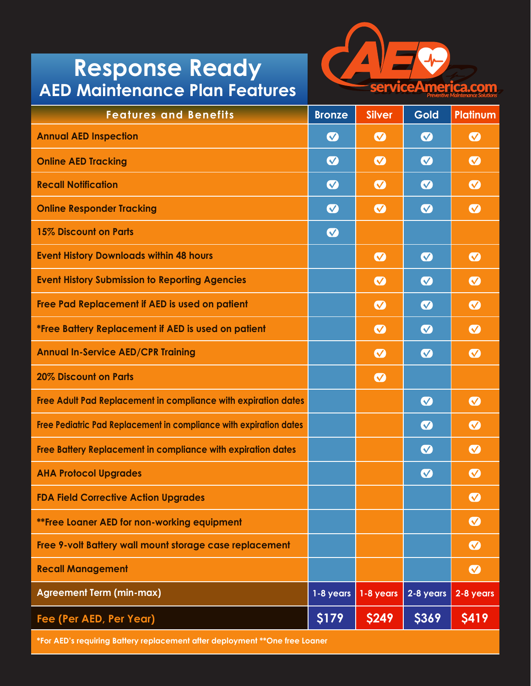## **Response Ready AED Maintenance Plan Features**



| <b>Features and Benefits</b>                                       | <b>Bronze</b>             | <b>Silver</b>         | <b>Gold</b>                | <b>Platinum</b>            |
|--------------------------------------------------------------------|---------------------------|-----------------------|----------------------------|----------------------------|
| <b>Annual AED Inspection</b>                                       | $\boldsymbol{\Omega}$     | $\boldsymbol{\omega}$ | $\bullet$                  | $\boldsymbol{\Omega}$      |
| <b>Online AED Tracking</b>                                         | $\boldsymbol{\heartsuit}$ | $\bullet$             | $\bullet$                  | $\boldsymbol{\Omega}$      |
| <b>Recall Notification</b>                                         | $\boldsymbol{\sigma}$     | $\bullet$             | $\bullet$                  | $\bullet$                  |
| <b>Online Responder Tracking</b>                                   | $\boldsymbol{\heartsuit}$ | $\bullet$             | $\bullet$                  | $\boldsymbol{\Omega}$      |
| <b>15% Discount on Parts</b>                                       | $\boldsymbol{\heartsuit}$ |                       |                            |                            |
| <b>Event History Downloads within 48 hours</b>                     |                           | $\bullet$             | $\bullet$                  | $\bullet$                  |
| <b>Event History Submission to Reporting Agencies</b>              |                           | $\bullet$             | $\bullet$                  | $\bullet$                  |
| Free Pad Replacement if AED is used on patient                     |                           | $\bullet$             | $\bullet$                  | $\bullet$                  |
| *Free Battery Replacement if AED is used on patient                |                           | $\bullet$             | $\bullet$                  | $\bullet$                  |
| <b>Annual In-Service AED/CPR Training</b>                          |                           | $\bullet$             | $\bullet$                  | $\boldsymbol{\Omega}$      |
| <b>20% Discount on Parts</b>                                       |                           | $\bullet$             |                            |                            |
| Free Adult Pad Replacement in compliance with expiration dates     |                           |                       | $\bullet$                  | $\bullet$                  |
| Free Pediatric Pad Replacement in compliance with expiration dates |                           |                       | $\bullet$                  | $\boldsymbol{\circ}$       |
| Free Battery Replacement in compliance with expiration dates       |                           |                       | $\bullet$                  | $\boldsymbol{\Omega}$      |
| <b>AHA Protocol Upgrades</b>                                       |                           |                       | $\boldsymbol{\mathcal{N}}$ | $\boldsymbol{\mathcal{N}}$ |
| <b>FDA Field Corrective Action Upgrades</b>                        |                           |                       |                            | $\bullet$                  |
| **Free Loaner AED for non-working equipment                        |                           |                       |                            | $\boldsymbol{\Omega}$      |
| Free 9-volt Battery wall mount storage case replacement            |                           |                       |                            | $\bullet$                  |
| <b>Recall Management</b>                                           |                           |                       |                            | $\bullet$                  |
| <b>Agreement Term (min-max)</b>                                    | 1-8 years                 | 1-8 years             | 2-8 years                  | 2-8 years                  |
| Fee (Per AED, Per Year)                                            | \$179                     | <b>\$249</b>          | \$369                      | <b>\$419</b>               |

**\*For AED's requiring Battery replacement after deployment \*\*One free Loaner**